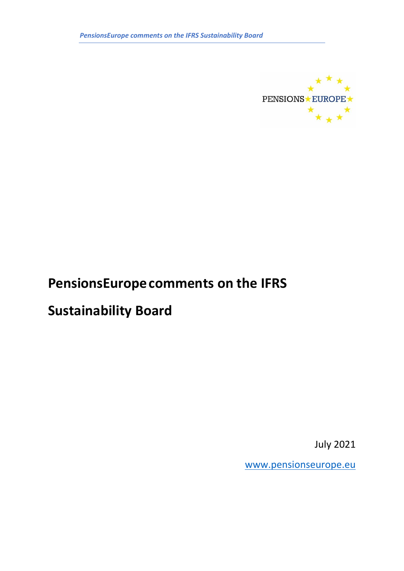

# **PensionsEuropecomments on the IFRS**

# **Sustainability Board**

July 2021

[www.pensionseurope.eu](http://www.pensionseurope.eu/)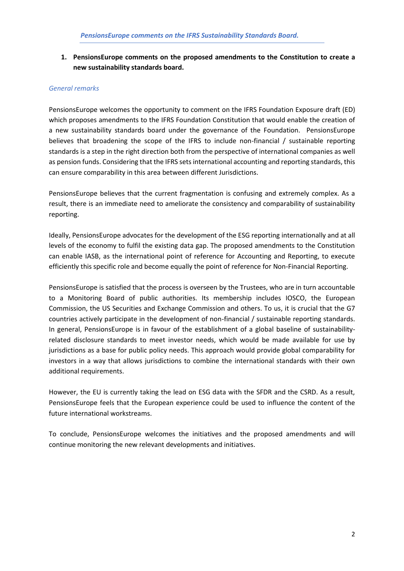# **1. PensionsEurope comments on the proposed amendments to the Constitution to create a new sustainability standards board.**

## *General remarks*

PensionsEurope welcomes the opportunity to comment on the IFRS Foundation Exposure draft (ED) which proposes amendments to the IFRS Foundation Constitution that would enable the creation of a new sustainability standards board under the governance of the Foundation. PensionsEurope believes that broadening the scope of the IFRS to include non-financial / sustainable reporting standards is a step in the right direction both from the perspective of international companies as well as pension funds. Considering that the IFRS sets international accounting and reporting standards, this can ensure comparability in this area between different Jurisdictions.

PensionsEurope believes that the current fragmentation is confusing and extremely complex. As a result, there is an immediate need to ameliorate the consistency and comparability of sustainability reporting.

Ideally, PensionsEurope advocates for the development of the ESG reporting internationally and at all levels of the economy to fulfil the existing data gap. The proposed amendments to the Constitution can enable IASB, as the international point of reference for Accounting and Reporting, to execute efficiently this specific role and become equally the point of reference for Non-Financial Reporting.

PensionsEurope is satisfied that the process is overseen by the Trustees, who are in turn accountable to a Monitoring Board of public authorities. Its membership includes IOSCO, the European Commission, the US Securities and Exchange Commission and others. To us, it is crucial that the G7 countries actively participate in the development of non-financial / sustainable reporting standards. In general, PensionsEurope is in favour of the establishment of a global baseline of sustainabilityrelated disclosure standards to meet investor needs, which would be made available for use by jurisdictions as a base for public policy needs. This approach would provide global comparability for investors in a way that allows jurisdictions to combine the international standards with their own additional requirements.

However, the EU is currently taking the lead on ESG data with the SFDR and the CSRD. As a result, PensionsEurope feels that the European experience could be used to influence the content of the future international workstreams.

To conclude, PensionsEurope welcomes the initiatives and the proposed amendments and will continue monitoring the new relevant developments and initiatives.